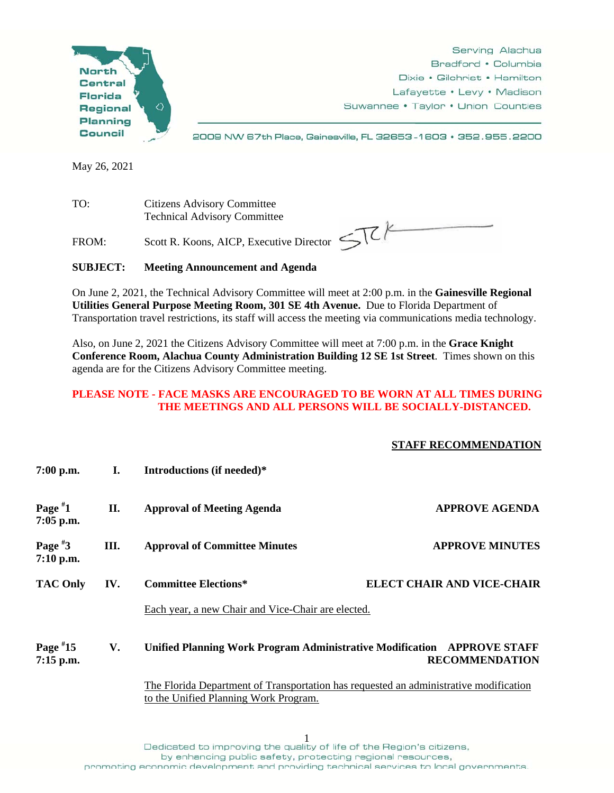

Serving Alachua Bradford • Columbia Dixie • Gilchrist • Hamilton Lafayette • Levy • Madison Suwannee • Taylor • Union Counties

2009 NW 67th Place, Gainesville, FL 32653-1603 • 352.955.2200

May 26, 2021

TO: Citizens Advisory Committee Technical Advisory Committee

FROM: Scott R. Koons, AICP, Executive Director  $\leq \sqrt{\zeta}$ 

## **SUBJECT: Meeting Announcement and Agenda**

On June 2, 2021, the Technical Advisory Committee will meet at 2:00 p.m. in the **Gainesville Regional Utilities General Purpose Meeting Room, 301 SE 4th Avenue.** Due to Florida Department of Transportation travel restrictions, its staff will access the meeting via communications media technology.

Also, on June 2, 2021 the Citizens Advisory Committee will meet at 7:00 p.m. in the **Grace Knight Conference Room, Alachua County Administration Building 12 SE 1st Street**. Times shown on this agenda are for the Citizens Advisory Committee meeting.

## **PLEASE NOTE - FACE MASKS ARE ENCOURAGED TO BE WORN AT ALL TIMES DURING THE MEETINGS AND ALL PERSONS WILL BE SOCIALLY-DISTANCED.**

## **STAFF RECOMMENDATION**

| $7:00$ p.m.                                                                                                                    | Ι.  | Introductions (if needed)*                                                                       |                                   |
|--------------------------------------------------------------------------------------------------------------------------------|-----|--------------------------------------------------------------------------------------------------|-----------------------------------|
| Page $*1$<br>$7:05$ p.m.                                                                                                       | П.  | <b>Approval of Meeting Agenda</b>                                                                | <b>APPROVE AGENDA</b>             |
| Page $*3$<br>$7:10$ p.m.                                                                                                       | Ш.  | <b>Approval of Committee Minutes</b>                                                             | <b>APPROVE MINUTES</b>            |
| <b>TAC Only</b>                                                                                                                | IV. | Committee Elections*                                                                             | <b>ELECT CHAIR AND VICE-CHAIR</b> |
|                                                                                                                                |     | Each year, a new Chair and Vice-Chair are elected.                                               |                                   |
| Page $*15$<br>$7:15$ p.m.                                                                                                      | V.  | Unified Planning Work Program Administrative Modification APPROVE STAFF<br><b>RECOMMENDATION</b> |                                   |
| The Florida Department of Transportation has requested an administrative modification<br>to the Unified Planning Work Program. |     |                                                                                                  |                                   |